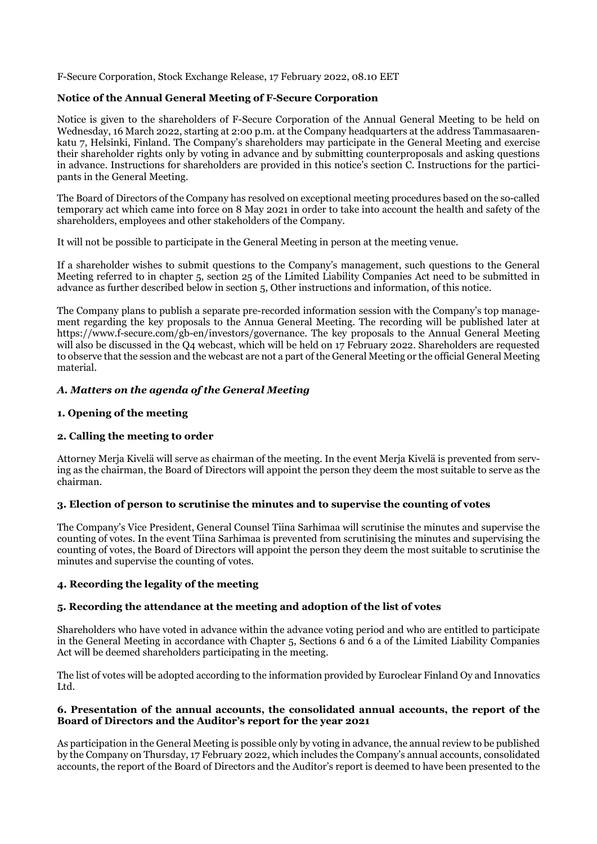F-Secure Corporation, Stock Exchange Release, 17 February 2022, 08.10 EET

#### **Notice of the Annual General Meeting of F-Secure Corporation**

Notice is given to the shareholders of F-Secure Corporation of the Annual General Meeting to be held on Wednesday, 16 March 2022, starting at 2:00 p.m. at the Company headquarters at the address Tammasaarenkatu 7, Helsinki, Finland. The Company's shareholders may participate in the General Meeting and exercise their shareholder rights only by voting in advance and by submitting counterproposals and asking questions in advance. Instructions for shareholders are provided in this notice's section C. Instructions for the participants in the General Meeting.

The Board of Directors of the Company has resolved on exceptional meeting procedures based on the so-called temporary act which came into force on 8 May 2021 in order to take into account the health and safety of the shareholders, employees and other stakeholders of the Company.

It will not be possible to participate in the General Meeting in person at the meeting venue.

If a shareholder wishes to submit questions to the Company's management, such questions to the General Meeting referred to in chapter 5, section 25 of the Limited Liability Companies Act need to be submitted in advance as further described below in section 5, Other instructions and information, of this notice.

The Company plans to publish a separate pre-recorded information session with the Company's top management regarding the key proposals to the Annua General Meeting. The recording will be published later at https://www.f-secure.com/gb-en/investors/governance. The key proposals to the Annual General Meeting will also be discussed in the Q4 webcast, which will be held on 17 February 2022. Shareholders are requested to observe that the session and the webcast are not a part of the General Meeting or the official General Meeting material.

# *A. Matters on the agenda of the General Meeting*

#### **1. Opening of the meeting**

#### **2. Calling the meeting to order**

Attorney Merja Kivelä will serve as chairman of the meeting. In the event Merja Kivelä is prevented from serving as the chairman, the Board of Directors will appoint the person they deem the most suitable to serve as the chairman.

#### **3. Election of person to scrutinise the minutes and to supervise the counting of votes**

The Company's Vice President, General Counsel Tiina Sarhimaa will scrutinise the minutes and supervise the counting of votes. In the event Tiina Sarhimaa is prevented from scrutinising the minutes and supervising the counting of votes, the Board of Directors will appoint the person they deem the most suitable to scrutinise the minutes and supervise the counting of votes.

# **4. Recording the legality of the meeting**

# **5. Recording the attendance at the meeting and adoption of the list of votes**

Shareholders who have voted in advance within the advance voting period and who are entitled to participate in the General Meeting in accordance with Chapter 5, Sections 6 and 6 a of the Limited Liability Companies Act will be deemed shareholders participating in the meeting.

The list of votes will be adopted according to the information provided by Euroclear Finland Oy and Innovatics Ltd.

#### **6. Presentation of the annual accounts, the consolidated annual accounts, the report of the Board of Directors and the Auditor's report for the year 2021**

As participation in the General Meeting is possible only by voting in advance, the annual review to be published by the Company on Thursday, 17 February 2022, which includes the Company's annual accounts, consolidated accounts, the report of the Board of Directors and the Auditor's report is deemed to have been presented to the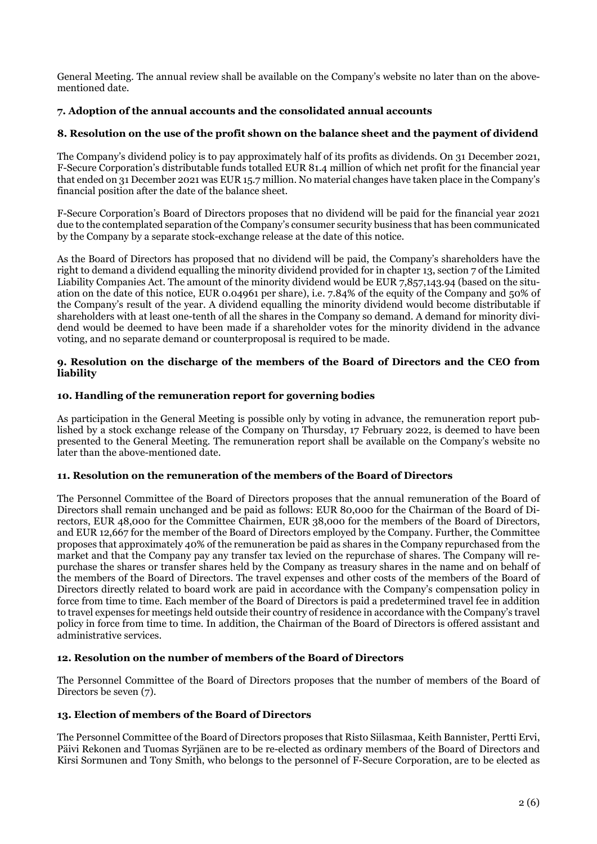General Meeting. The annual review shall be available on the Company's website no later than on the abovementioned date.

# **7. Adoption of the annual accounts and the consolidated annual accounts**

# **8. Resolution on the use of the profit shown on the balance sheet and the payment of dividend**

The Company's dividend policy is to pay approximately half of its profits as dividends. On 31 December 2021, F-Secure Corporation's distributable funds totalled EUR 81.4 million of which net profit for the financial year that ended on 31 December 2021 was EUR 15.7 million. No material changes have taken place in the Company's financial position after the date of the balance sheet.

F-Secure Corporation's Board of Directors proposes that no dividend will be paid for the financial year 2021 due to the contemplated separation of the Company's consumer security business that has been communicated by the Company by a separate stock-exchange release at the date of this notice.

As the Board of Directors has proposed that no dividend will be paid, the Company's shareholders have the right to demand a dividend equalling the minority dividend provided for in chapter 13, section 7 of the Limited Liability Companies Act. The amount of the minority dividend would be EUR 7,857,143.94 (based on the situation on the date of this notice, EUR 0.04961 per share), i.e. 7.84% of the equity of the Company and 50% of the Company's result of the year. A dividend equalling the minority dividend would become distributable if shareholders with at least one-tenth of all the shares in the Company so demand. A demand for minority dividend would be deemed to have been made if a shareholder votes for the minority dividend in the advance voting, and no separate demand or counterproposal is required to be made.

#### **9. Resolution on the discharge of the members of the Board of Directors and the CEO from liability**

# **10. Handling of the remuneration report for governing bodies**

As participation in the General Meeting is possible only by voting in advance, the remuneration report published by a stock exchange release of the Company on Thursday, 17 February 2022, is deemed to have been presented to the General Meeting. The remuneration report shall be available on the Company's website no later than the above-mentioned date.

# **11. Resolution on the remuneration of the members of the Board of Directors**

The Personnel Committee of the Board of Directors proposes that the annual remuneration of the Board of Directors shall remain unchanged and be paid as follows: EUR 80,000 for the Chairman of the Board of Directors, EUR 48,000 for the Committee Chairmen, EUR 38,000 for the members of the Board of Directors, and EUR 12,667 for the member of the Board of Directors employed by the Company. Further, the Committee proposes that approximately 40% of the remuneration be paid as shares in the Company repurchased from the market and that the Company pay any transfer tax levied on the repurchase of shares. The Company will repurchase the shares or transfer shares held by the Company as treasury shares in the name and on behalf of the members of the Board of Directors. The travel expenses and other costs of the members of the Board of Directors directly related to board work are paid in accordance with the Company's compensation policy in force from time to time. Each member of the Board of Directors is paid a predetermined travel fee in addition to travel expenses for meetings held outside their country of residence in accordance with the Company's travel policy in force from time to time. In addition, the Chairman of the Board of Directors is offered assistant and administrative services.

# **12. Resolution on the number of members of the Board of Directors**

The Personnel Committee of the Board of Directors proposes that the number of members of the Board of Directors be seven (7).

# **13. Election of members of the Board of Directors**

The Personnel Committee of the Board of Directors proposes that Risto Siilasmaa, Keith Bannister, Pertti Ervi, Päivi Rekonen and Tuomas Syrjänen are to be re-elected as ordinary members of the Board of Directors and Kirsi Sormunen and Tony Smith, who belongs to the personnel of F-Secure Corporation, are to be elected as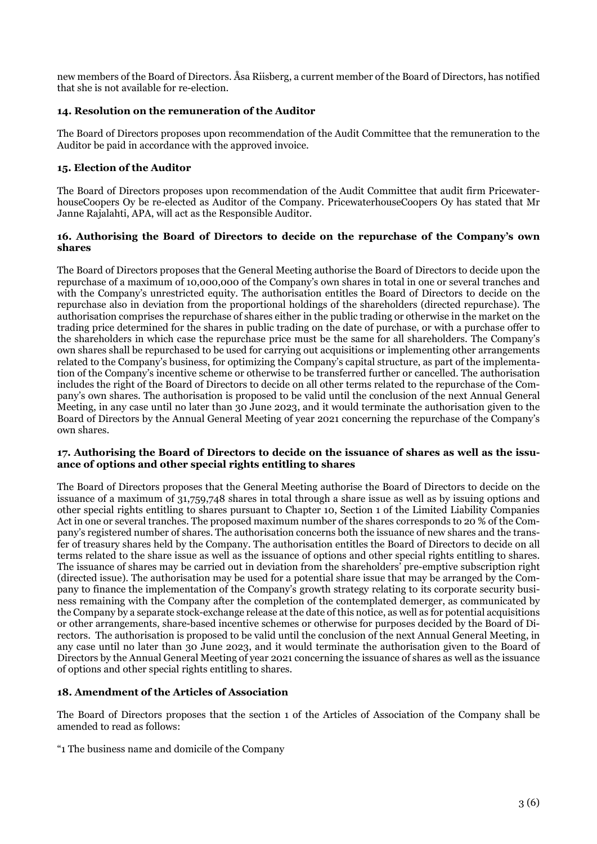new members of the Board of Directors. Åsa Riisberg, a current member of the Board of Directors, has notified that she is not available for re-election.

# **14. Resolution on the remuneration of the Auditor**

The Board of Directors proposes upon recommendation of the Audit Committee that the remuneration to the Auditor be paid in accordance with the approved invoice.

# **15. Election of the Auditor**

The Board of Directors proposes upon recommendation of the Audit Committee that audit firm PricewaterhouseCoopers Oy be re-elected as Auditor of the Company. PricewaterhouseCoopers Oy has stated that Mr Janne Rajalahti, APA, will act as the Responsible Auditor.

#### **16. Authorising the Board of Directors to decide on the repurchase of the Company's own shares**

The Board of Directors proposes that the General Meeting authorise the Board of Directors to decide upon the repurchase of a maximum of 10,000,000 of the Company's own shares in total in one or several tranches and with the Company's unrestricted equity. The authorisation entitles the Board of Directors to decide on the repurchase also in deviation from the proportional holdings of the shareholders (directed repurchase). The authorisation comprises the repurchase of shares either in the public trading or otherwise in the market on the trading price determined for the shares in public trading on the date of purchase, or with a purchase offer to the shareholders in which case the repurchase price must be the same for all shareholders. The Company's own shares shall be repurchased to be used for carrying out acquisitions or implementing other arrangements related to the Company's business, for optimizing the Company's capital structure, as part of the implementation of the Company's incentive scheme or otherwise to be transferred further or cancelled. The authorisation includes the right of the Board of Directors to decide on all other terms related to the repurchase of the Company's own shares. The authorisation is proposed to be valid until the conclusion of the next Annual General Meeting, in any case until no later than 30 June 2023, and it would terminate the authorisation given to the Board of Directors by the Annual General Meeting of year 2021 concerning the repurchase of the Company's own shares.

#### **17. Authorising the Board of Directors to decide on the issuance of shares as well as the issuance of options and other special rights entitling to shares**

The Board of Directors proposes that the General Meeting authorise the Board of Directors to decide on the issuance of a maximum of 31,759,748 shares in total through a share issue as well as by issuing options and other special rights entitling to shares pursuant to Chapter 10, Section 1 of the Limited Liability Companies Act in one or several tranches. The proposed maximum number of the shares corresponds to 20 % of the Company's registered number of shares. The authorisation concerns both the issuance of new shares and the transfer of treasury shares held by the Company. The authorisation entitles the Board of Directors to decide on all terms related to the share issue as well as the issuance of options and other special rights entitling to shares. The issuance of shares may be carried out in deviation from the shareholders' pre-emptive subscription right (directed issue). The authorisation may be used for a potential share issue that may be arranged by the Company to finance the implementation of the Company's growth strategy relating to its corporate security business remaining with the Company after the completion of the contemplated demerger, as communicated by the Company by a separate stock-exchange release at the date of this notice, as well as for potential acquisitions or other arrangements, share-based incentive schemes or otherwise for purposes decided by the Board of Directors. The authorisation is proposed to be valid until the conclusion of the next Annual General Meeting, in any case until no later than 30 June 2023, and it would terminate the authorisation given to the Board of Directors by the Annual General Meeting of year 2021 concerning the issuance of shares as well as the issuance of options and other special rights entitling to shares.

#### **18. Amendment of the Articles of Association**

The Board of Directors proposes that the section 1 of the Articles of Association of the Company shall be amended to read as follows:

"1 The business name and domicile of the Company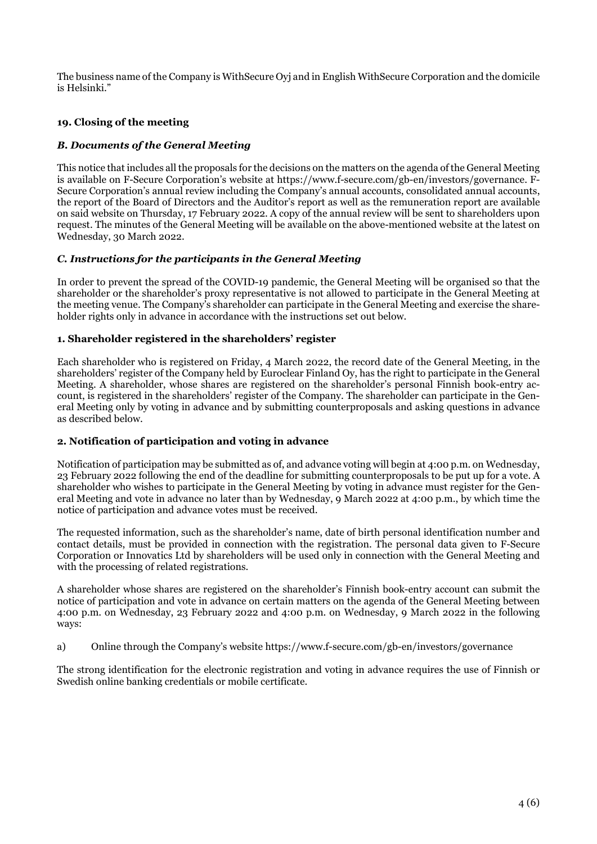The business name of the Company is WithSecure Oyj and in English WithSecure Corporation and the domicile is Helsinki."

# **19. Closing of the meeting**

# *B. Documents of the General Meeting*

This notice that includes all the proposals for the decisions on the matters on the agenda of the General Meeting is available on F-Secure Corporation's website at https://www.f-secure.com/gb-en/investors/governance. F-Secure Corporation's annual review including the Company's annual accounts, consolidated annual accounts, the report of the Board of Directors and the Auditor's report as well as the remuneration report are available on said website on Thursday, 17 February 2022. A copy of the annual review will be sent to shareholders upon request. The minutes of the General Meeting will be available on the above-mentioned website at the latest on Wednesday, 30 March 2022.

# *C. Instructions for the participants in the General Meeting*

In order to prevent the spread of the COVID-19 pandemic, the General Meeting will be organised so that the shareholder or the shareholder's proxy representative is not allowed to participate in the General Meeting at the meeting venue. The Company's shareholder can participate in the General Meeting and exercise the shareholder rights only in advance in accordance with the instructions set out below.

#### **1. Shareholder registered in the shareholders' register**

Each shareholder who is registered on Friday, 4 March 2022, the record date of the General Meeting, in the shareholders' register of the Company held by Euroclear Finland Oy, has the right to participate in the General Meeting. A shareholder, whose shares are registered on the shareholder's personal Finnish book-entry account, is registered in the shareholders' register of the Company. The shareholder can participate in the General Meeting only by voting in advance and by submitting counterproposals and asking questions in advance as described below.

# **2. Notification of participation and voting in advance**

Notification of participation may be submitted as of, and advance voting will begin at 4:00 p.m. on Wednesday, 23 February 2022 following the end of the deadline for submitting counterproposals to be put up for a vote. A shareholder who wishes to participate in the General Meeting by voting in advance must register for the General Meeting and vote in advance no later than by Wednesday, 9 March 2022 at 4:00 p.m., by which time the notice of participation and advance votes must be received.

The requested information, such as the shareholder's name, date of birth personal identification number and contact details, must be provided in connection with the registration. The personal data given to F-Secure Corporation or Innovatics Ltd by shareholders will be used only in connection with the General Meeting and with the processing of related registrations.

A shareholder whose shares are registered on the shareholder's Finnish book-entry account can submit the notice of participation and vote in advance on certain matters on the agenda of the General Meeting between 4:00 p.m. on Wednesday, 23 February 2022 and 4:00 p.m. on Wednesday, 9 March 2022 in the following ways:

a) Online through the Company's website https://www.f-secure.com/gb-en/investors/governance

The strong identification for the electronic registration and voting in advance requires the use of Finnish or Swedish online banking credentials or mobile certificate.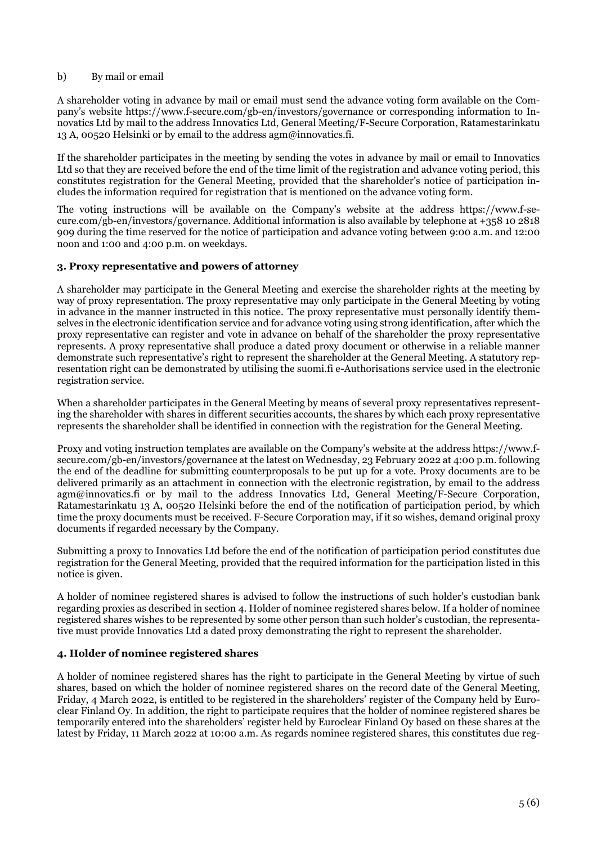#### b) By mail or email

A shareholder voting in advance by mail or email must send the advance voting form available on the Company's website https://www.f-secure.com/gb-en/investors/governance or corresponding information to Innovatics Ltd by mail to the address Innovatics Ltd, General Meeting/F-Secure Corporation, Ratamestarinkatu 13 A, 00520 Helsinki or by email to the address  $\text{agm}\omega$  innovatics. fi.

If the shareholder participates in the meeting by sending the votes in advance by mail or email to Innovatics Ltd so that they are received before the end of the time limit of the registration and advance voting period, this constitutes registration for the General Meeting, provided that the shareholder's notice of participation includes the information required for registration that is mentioned on the advance voting form.

The voting instructions will be available on the Company's website at the address https://www.f-secure.com/gb-en/investors/governance. Additional information is also available by telephone at +358 10 2818 909 during the time reserved for the notice of participation and advance voting between 9:00 a.m. and 12:00 noon and 1:00 and 4:00 p.m. on weekdays.

#### **3. Proxy representative and powers of attorney**

A shareholder may participate in the General Meeting and exercise the shareholder rights at the meeting by way of proxy representation. The proxy representative may only participate in the General Meeting by voting in advance in the manner instructed in this notice. The proxy representative must personally identify themselves in the electronic identification service and for advance voting using strong identification, after which the proxy representative can register and vote in advance on behalf of the shareholder the proxy representative represents. A proxy representative shall produce a dated proxy document or otherwise in a reliable manner demonstrate such representative's right to represent the shareholder at the General Meeting. A statutory representation right can be demonstrated by utilising the suomi.fi e-Authorisations service used in the electronic registration service.

When a shareholder participates in the General Meeting by means of several proxy representatives representing the shareholder with shares in different securities accounts, the shares by which each proxy representative represents the shareholder shall be identified in connection with the registration for the General Meeting.

Proxy and voting instruction templates are available on the Company's website at the address https://www.fsecure.com/gb-en/investors/governance at the latest on Wednesday, 23 February 2022 at 4:00 p.m. following the end of the deadline for submitting counterproposals to be put up for a vote. Proxy documents are to be delivered primarily as an attachment in connection with the electronic registration, by email to the address agm@innovatics.fi or by mail to the address Innovatics Ltd, General Meeting/F-Secure Corporation, Ratamestarinkatu 13 A, 00520 Helsinki before the end of the notification of participation period, by which time the proxy documents must be received. F-Secure Corporation may, if it so wishes, demand original proxy documents if regarded necessary by the Company.

Submitting a proxy to Innovatics Ltd before the end of the notification of participation period constitutes due registration for the General Meeting, provided that the required information for the participation listed in this notice is given.

A holder of nominee registered shares is advised to follow the instructions of such holder's custodian bank regarding proxies as described in section 4. Holder of nominee registered shares below. If a holder of nominee registered shares wishes to be represented by some other person than such holder's custodian, the representative must provide Innovatics Ltd a dated proxy demonstrating the right to represent the shareholder.

# **4. Holder of nominee registered shares**

A holder of nominee registered shares has the right to participate in the General Meeting by virtue of such shares, based on which the holder of nominee registered shares on the record date of the General Meeting, Friday, 4 March 2022, is entitled to be registered in the shareholders' register of the Company held by Euroclear Finland Oy. In addition, the right to participate requires that the holder of nominee registered shares be temporarily entered into the shareholders' register held by Euroclear Finland Oy based on these shares at the latest by Friday, 11 March 2022 at 10:00 a.m. As regards nominee registered shares, this constitutes due reg